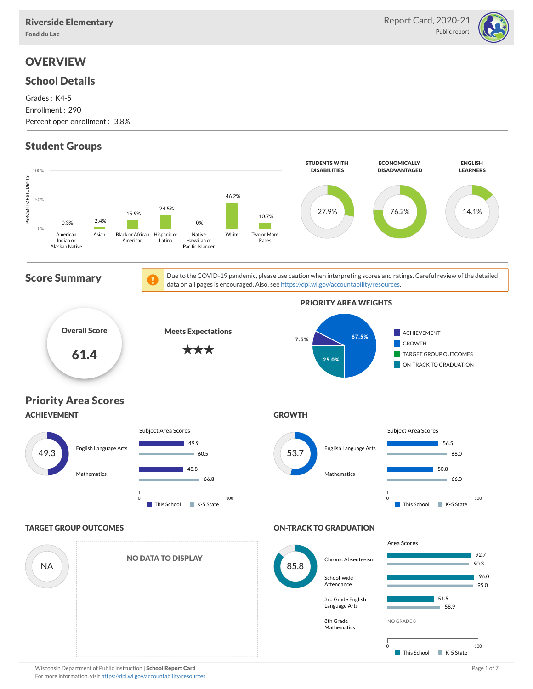

# **OVERVIEW**

### School Details

Grades : K4-5 Enrollment : 290 Percent open enrollment : 3.8%

# Student Groups

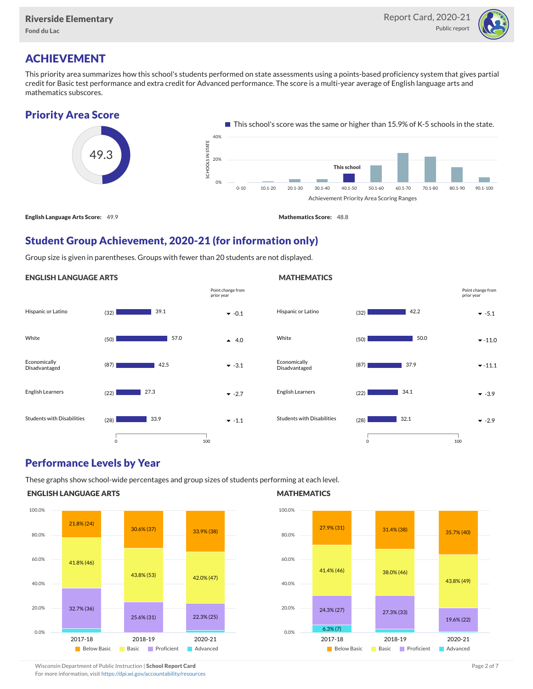

Point change from prior year

# ACHIEVEMENT

This priority area summarizes how this school's students performed on state assessments using a points-based proficiency system that gives partial credit for Basic test performance and extra credit for Advanced performance. The score is a multi-year average of English language arts and mathematics subscores.

## Priority Area Score



## Student Group Achievement, 2020-21 (for information only)

Group size is given in parentheses. Groups with fewer than 20 students are not displayed.

#### ENGLISH LANGUAGE ARTS



## Performance Levels by Year

These graphs show school-wide percentages and group sizes of students performing at each level.

#### ENGLISH LANGUAGE ARTS



#### **MATHEMATICS**

**MATHEMATICS** 



Wisconsin Department of Public Instruction | School Report Card Page 2 of 7 and 2008 and 2009 and 2 of 7 and 2 of 7

For more information, visit <https://dpi.wi.gov/accountability/resources>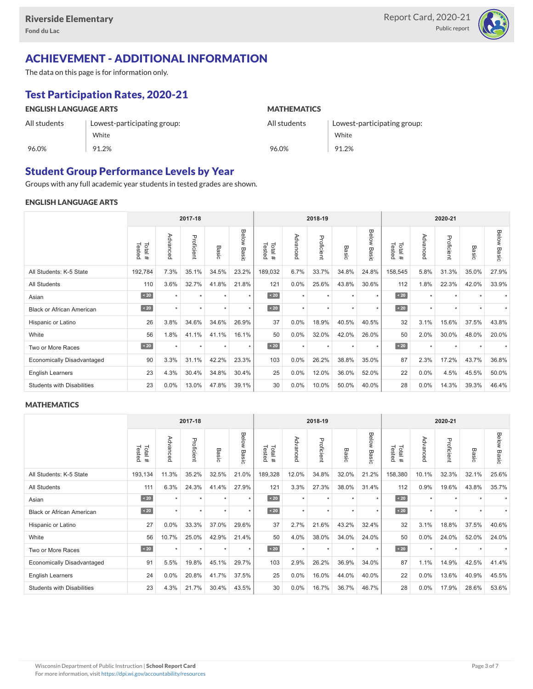

# ACHIEVEMENT - ADDITIONAL INFORMATION

The data on this page is for information only.

# Test Participation Rates, 2020-21

| <b>ENGLISH LANGUAGE ARTS</b> |                             | <b>MATHEMATICS</b> |                             |  |  |  |  |  |
|------------------------------|-----------------------------|--------------------|-----------------------------|--|--|--|--|--|
| All students                 | Lowest-participating group: | All students       | Lowest-participating group: |  |  |  |  |  |
|                              | White                       |                    | White                       |  |  |  |  |  |
| 96.0%                        | 91.2%                       | 96.0%              | 91.2%                       |  |  |  |  |  |

## Student Group Performance Levels by Year

Groups with any full academic year students in tested grades are shown.

#### ENGLISH LANGUAGE ARTS

|                                   |                  |           | 2017-18    |         |                |                  |          | 2018-19    |                            | 2020-21        |                  |          |            |       |                    |
|-----------------------------------|------------------|-----------|------------|---------|----------------|------------------|----------|------------|----------------------------|----------------|------------------|----------|------------|-------|--------------------|
|                                   | Tested<br>Total# | Advanced  | Proficient | Basic   | Below<br>Basic | Tested<br>Total# | Advanced | Proficient | Basi<br>$\overline{\circ}$ | Below<br>Basic | Tested<br>Total# | Advancec | Proficient | Basic | <b>Below Basic</b> |
| All Students: K-5 State           | 192,784          | 7.3%      | 35.1%      | 34.5%   | 23.2%          | 189,032          | 6.7%     | 33.7%      | 34.8%                      | 24.8%          | 158,545          | 5.8%     | 31.3%      | 35.0% | 27.9%              |
| <b>All Students</b>               | 110              | 3.6%      | 32.7%      | 41.8%   | 21.8%          | 121              | 0.0%     | 25.6%      | 43.8%                      | 30.6%          | 112              | 1.8%     | 22.3%      | 42.0% | 33.9%              |
| Asian                             | $\angle 20$      | $\ddot{}$ | $\star$    | $\star$ | $\star$        | $\angle 20$      | $\star$  | $\star$    | $\ddot{\phantom{1}}$       | $\star$        | $\angle 20$      | $\star$  | $\star$    |       |                    |
| <b>Black or African American</b>  | $\sim 20$        | $\star$   | $\star$    | $\star$ | $\star$        | $\angle 20$      | $\star$  | $\star$    | $\star$                    | $\star$        | $\sim 20$        | $\star$  | $\star$    |       |                    |
| Hispanic or Latino                | 26               | 3.8%      | 34.6%      | 34.6%   | 26.9%          | 37               | 0.0%     | 18.9%      | 40.5%                      | 40.5%          | 32               | 3.1%     | 15.6%      | 37.5% | 43.8%              |
| White                             | 56               | 1.8%      | 41.1%      | 41.1%   | 16.1%          | 50               | 0.0%     | 32.0%      | 42.0%                      | 26.0%          | 50               | 2.0%     | 30.0%      | 48.0% | 20.0%              |
| Two or More Races                 | $\sim 20$        | $\star$   | $\star$    | $\star$ | $\star$        | $\sim 20$        | $\star$  | $\star$    | $\star$                    | $\star$        | $\angle 20$      | $\star$  | $\star$    |       |                    |
| <b>Economically Disadvantaged</b> | 90               | 3.3%      | 31.1%      | 42.2%   | 23.3%          | 103              | 0.0%     | 26.2%      | 38.8%                      | 35.0%          | 87               | 2.3%     | 17.2%      | 43.7% | 36.8%              |
| <b>English Learners</b>           | 23               | 4.3%      | 30.4%      | 34.8%   | 30.4%          | 25               | 0.0%     | 12.0%      | 36.0%                      | 52.0%          | 22               | 0.0%     | 4.5%       | 45.5% | 50.0%              |
| <b>Students with Disabilities</b> | 23               | 0.0%      | 13.0%      | 47.8%   | 39.1%          | 30               | 0.0%     | 10.0%      | 50.0%                      | 40.0%          | 28               | 0.0%     | 14.3%      | 39.3% | 46.4%              |

#### **MATHEMATICS**

|                                   |                  |          | 2017-18    |         |                |                  |          | 2018-19    |         | 2020-21        |                  |          |            |       |                    |
|-----------------------------------|------------------|----------|------------|---------|----------------|------------------|----------|------------|---------|----------------|------------------|----------|------------|-------|--------------------|
|                                   | Tested<br>Total# | Advanced | Proficient | Basic   | Below<br>Basic | Total#<br>Tested | Advanced | Proficient | Basic   | Below<br>Basic | Tested<br>Total# | Advanced | Proficient | Basic | <b>Below Basic</b> |
| All Students: K-5 State           | 193,134          | 11.3%    | 35.2%      | 32.5%   | 21.0%          | 189,328          | 12.0%    | 34.8%      | 32.0%   | 21.2%          | 158,380          | 10.1%    | 32.3%      | 32.1% | 25.6%              |
| All Students                      | 111              | 6.3%     | 24.3%      | 41.4%   | 27.9%          | 121              | 3.3%     | 27.3%      | 38.0%   | 31.4%          | 112              | 0.9%     | 19.6%      | 43.8% | 35.7%              |
| Asian                             | $\sim 20$        |          |            | ٠       | $\star$        | $\sim 20$        | $\star$  | $\star$    |         | $\ddot{}$      | $\sim 20$        | $\star$  | ٠          |       |                    |
| <b>Black or African American</b>  | $\angle 20$      | ٠        | $\star$    |         | $\star$        | $\angle 20$      | $\star$  | $\star$    |         | $\star$        | $\angle 20$      | $\star$  | $\star$    |       |                    |
| Hispanic or Latino                | 27               | 0.0%     | 33.3%      | 37.0%   | 29.6%          | 37               | 2.7%     | 21.6%      | 43.2%   | 32.4%          | 32               | 3.1%     | 18.8%      | 37.5% | 40.6%              |
| White                             | 56               | 10.7%    | 25.0%      | 42.9%   | 21.4%          | 50               | 4.0%     | 38.0%      | 34.0%   | 24.0%          | 50               | 0.0%     | 24.0%      | 52.0% | 24.0%              |
| Two or More Races                 | $\sim 20$        | $\star$  | $\star$    | $\star$ | $\star$        | $\sim 20$        | $\star$  | $\star$    | $\star$ | $\star$        | $\sim 20$        | $\star$  | $\star$    |       |                    |
| <b>Economically Disadvantaged</b> | 91               | 5.5%     | 19.8%      | 45.1%   | 29.7%          | 103              | 2.9%     | 26.2%      | 36.9%   | 34.0%          | 87               | 1.1%     | 14.9%      | 42.5% | 41.4%              |
| <b>English Learners</b>           | 24               | 0.0%     | 20.8%      | 41.7%   | 37.5%          | 25               | 0.0%     | 16.0%      | 44.0%   | 40.0%          | 22               | 0.0%     | 13.6%      | 40.9% | 45.5%              |
| <b>Students with Disabilities</b> | 23               | 4.3%     | 21.7%      | 30.4%   | 43.5%          | 30               | 0.0%     | 16.7%      | 36.7%   | 46.7%          | 28               | 0.0%     | 17.9%      | 28.6% | 53.6%              |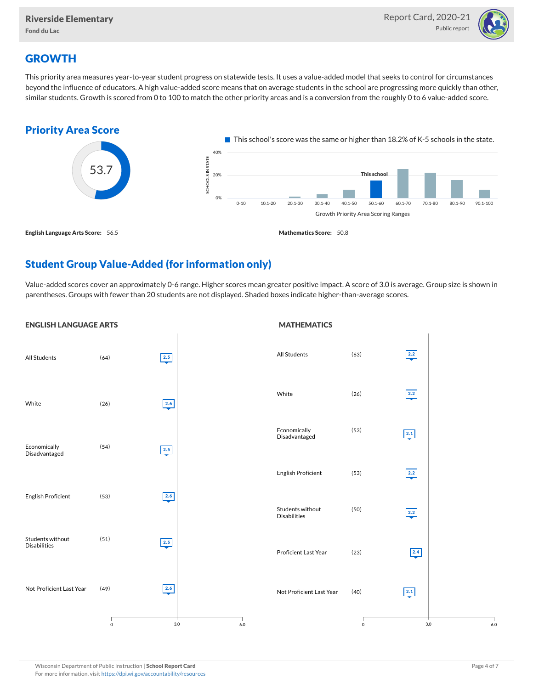

# **GROWTH**

This priority area measures year-to-year student progress on statewide tests. It uses a value-added model that seeks to control for circumstances beyond the influence of educators. A high value-added score means that on average students in the school are progressing more quickly than other, similar students. Growth is scored from 0 to 100 to match the other priority areas and is a conversion from the roughly 0 to 6 value-added score.



# Student Group Value-Added (for information only)

Value-added scores cover an approximately 0-6 range. Higher scores mean greater positive impact. A score of 3.0 is average. Group size is shown in parentheses. Groups with fewer than 20 students are not displayed. Shaded boxes indicate higher-than-average scores.

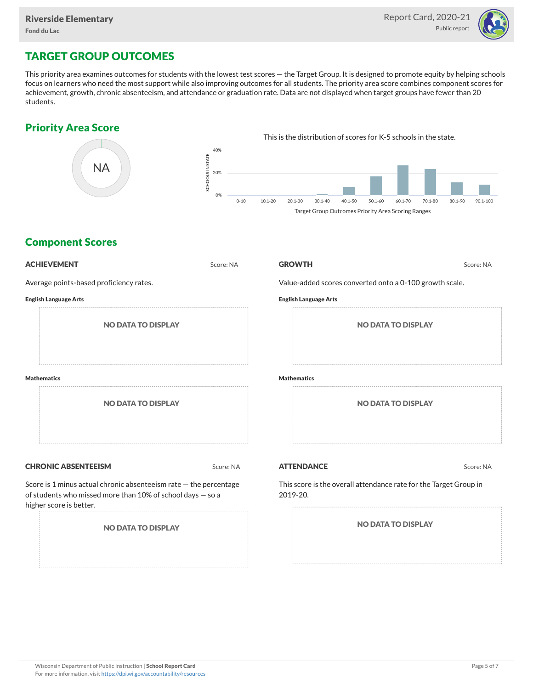

# TARGET GROUP OUTCOMES

This priority area examines outcomes for students with the lowest test scores — the Target Group. It is designed to promote equity by helping schools focus on learners who need the most support while also improving outcomes for all students. The priority area score combines component scores for achievement, growth, chronic absenteeism, and attendance or graduation rate. Data are not displayed when target groups have fewer than 20 students.

## Priority Area Score



## Component Scores

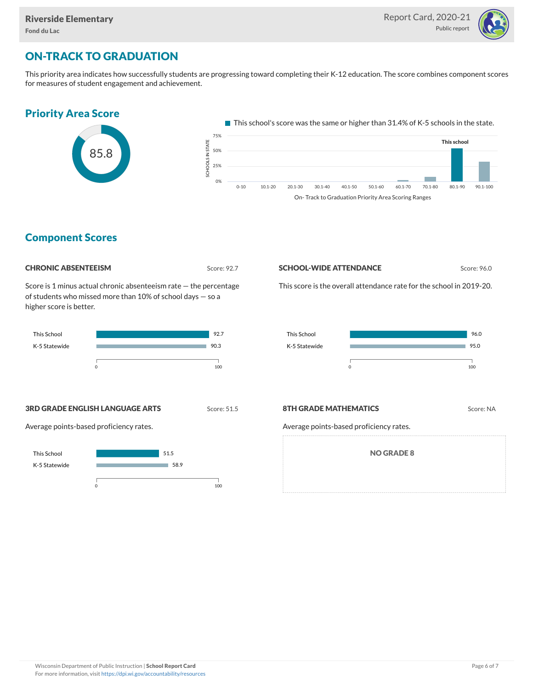

# ON-TRACK TO GRADUATION

This priority area indicates how successfully students are progressing toward completing their K-12 education. The score combines component scores for measures of student engagement and achievement.

# Priority Area Score



 $\blacksquare$  This school's score was the same or higher than 31.4% of K-5 schools in the state.



## Component Scores

#### **CHRONIC ABSENTEEISM** Score: 92.7

Score is 1 minus actual chronic absenteeism rate — the percentage of students who missed more than 10% of school days — so a higher score is better.



#### **SCHOOL-WIDE ATTENDANCE** Score: 96.0

This score is the overall attendance rate for the school in 2019-20.



#### **3RD GRADE ENGLISH LANGUAGE ARTS** Score: 51.5

Average points-based proficiency rates.



#### **8TH GRADE MATHEMATICS** Score: NA

Average points-based proficiency rates.

NO GRADE 8